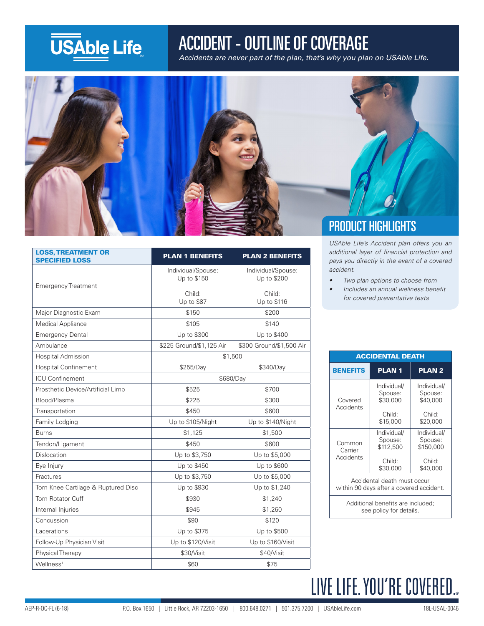## **USAble Life**

### ACCIDENT - OUTLINE OF COVERAGE

Accidents are never part of the plan, that's why you plan on USAble Life.



| <b>LOSS, TREATMENT OR</b><br><b>SPECIFIED LOSS</b> | <b>PLAN 1 BENEFITS</b>            | <b>PLAN 2 BENEFITS</b>            |
|----------------------------------------------------|-----------------------------------|-----------------------------------|
| <b>Emergency Treatment</b>                         | Individual/Spouse:<br>Up to \$150 | Individual/Spouse:<br>Up to \$200 |
|                                                    | Child:<br>Up to \$87              | Child:<br>Up to \$116             |
| Major Diagnostic Exam                              | \$150                             | \$200                             |
| Medical Appliance                                  | \$105                             | \$140                             |
| <b>Emergency Dental</b>                            | Up to \$300                       | Up to \$400                       |
| Ambulance                                          | \$225 Ground/\$1,125 Air          | \$300 Ground/\$1,500 Air          |
| <b>Hospital Admission</b>                          | \$1,500                           |                                   |
| <b>Hospital Confinement</b>                        | \$255/Day                         | \$340/Day                         |
| <b>ICU Confinement</b>                             | \$680/Day                         |                                   |
| Prosthetic Device/Artificial Limb                  | \$525                             | \$700                             |
| Blood/Plasma                                       | \$225                             | \$300                             |
| Transportation                                     | \$450                             | \$600                             |
| Family Lodging                                     | Up to \$105/Night                 | Up to \$140/Night                 |
| <b>Burns</b>                                       | \$1,125                           | \$1,500                           |
| Tendon/Ligament                                    | \$450                             | \$600                             |
| Dislocation                                        | Up to \$3,750                     | Up to \$5,000                     |
| Eve Injury                                         | Up to \$450                       | Up to \$600                       |
| Fractures                                          | Up to \$3,750                     | Up to \$5,000                     |
| Torn Knee Cartilage & Ruptured Disc                | Up to \$930                       | Up to \$1,240                     |
| Torn Rotator Cuff                                  | \$930                             | \$1,240                           |
| Internal Injuries                                  | \$945                             | \$1,260                           |
| Concussion                                         | \$90                              | \$120                             |
| Lacerations                                        | Up to \$375                       | Up to \$500                       |
| Follow-Up Physician Visit                          | Up to \$120/Visit                 | Up to \$160/Visit                 |
| Physical Therapy                                   | \$30/Visit                        | \$40/Visit                        |
| Wellness <sup>1</sup>                              | \$60                              | \$75                              |

*USAble Life's Accident plan offers you an*  additional layer of financial protection and *pays you directly in the event of a covered accident.*

- *• Two plan options to choose from*
- *•* Includes an annual wellness benefit *for covered preventative tests*

| <b>ACCIDENTAL DEATH</b>                                                 |                                     |                                     |  |
|-------------------------------------------------------------------------|-------------------------------------|-------------------------------------|--|
| <b>BENEFITS</b>                                                         | <b>PLAN1</b>                        | <b>PLAN2</b>                        |  |
| Covered<br>Accidents                                                    | Individual/<br>Spouse:<br>\$30,000  | Individual/<br>Spouse:<br>\$40,000  |  |
|                                                                         | Child:<br>\$15,000                  | Child:<br>\$20,000                  |  |
| Common<br>Carrier<br>Accidents                                          | Individual/<br>Spouse:<br>\$112,500 | Individual/<br>Spouse:<br>\$150,000 |  |
|                                                                         | Child:<br>\$30,000                  | Child:<br>\$40,000                  |  |
| Accidental death must occur<br>within 90 days after a covered accident. |                                     |                                     |  |
| Additional benefits are included;<br>see policy for details.            |                                     |                                     |  |